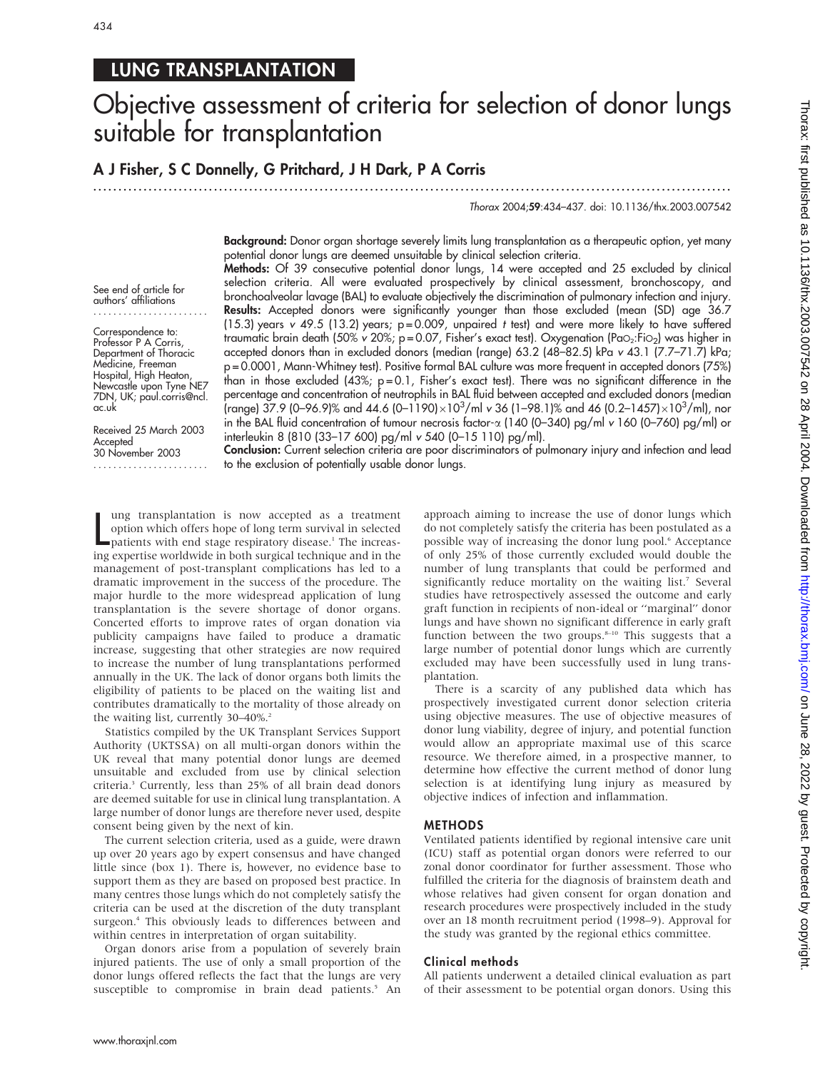# LUNG TRANSPLANTATION

# Objective assessment of criteria for selection of donor lungs suitable for transplantation

A J Fisher, S C Donnelly, G Pritchard, J H Dark, P A Corris

.............................................................................................................................. .

Thorax 2004;59:434–437. doi: 10.1136/thx.2003.007542

Background: Donor organ shortage severely limits lung transplantation as a therapeutic option, yet many potential donor lungs are deemed unsuitable by clinical selection criteria. Methods: Of 39 consecutive potential donor lungs, 14 were accepted and 25 excluded by clinical

See end of article for authors' affiliations .......................

Correspondence to: Professor P A Corris, Department of Thoracic Medicine, Freeman Hospital, High Heaton, Newcastle upon Tyne NE7 7DN, UK; paul.corris@ncl. ac.uk

Received 25 March 2003 **Accepted** 30 November 2003

.......................

selection criteria. All were evaluated prospectively by clinical assessment, bronchoscopy, and bronchoalveolar lavage (BAL) to evaluate objectively the discrimination of pulmonary infection and injury. Results: Accepted donors were significantly younger than those excluded (mean (SD) age 36.7 (15.3) years v 49.5 (13.2) years;  $p = 0.009$ , unpaired t test) and were more likely to have suffered traumatic brain death (50% v 20%; p=0.07, Fisher's exact test). Oxygenation (PaO<sub>2</sub>:FiO<sub>2</sub>) was higher in accepted donors than in excluded donors (median (range) 63.2 (48–82.5) kPa v 43.1 (7.7–71.7) kPa; p = 0.0001, Mann-Whitney test). Positive formal BAL culture was more frequent in accepted donors (75%) than in those excluded  $(43\%)$ ; p=0.1, Fisher's exact test). There was no significant difference in the percentage and concentration of neutrophils in BAL fluid between accepted and excluded donors (median (range) 37.9 (0–96.9)% and 44.6 (0–1190) $\times10^3/\text{ml}$  v 36 (1–98.1)% and 46 (0.2–1457) $\times10^3/\text{ml}$ ), nor in the BAL fluid concentration of tumour necrosis factor-a (140 (0–340) pg/ml v 160 (0–760) pg/ml) or interleukin 8 (810 (33–17 600) pg/ml v 540 (0–15 110) pg/ml).

Conclusion: Current selection criteria are poor discriminators of pulmonary injury and infection and lead to the exclusion of potentially usable donor lungs.

lung transplantation is now accepted as a treatment<br>option which offers hope of long term survival in selected<br>patients with end stage respiratory disease.<sup>1</sup> The increas-<br>ing expertise worldwide in both surgical technique ung transplantation is now accepted as a treatment option which offers hope of long term survival in selected patients with end stage respiratory disease.1 The increasmanagement of post-transplant complications has led to a dramatic improvement in the success of the procedure. The major hurdle to the more widespread application of lung transplantation is the severe shortage of donor organs. Concerted efforts to improve rates of organ donation via publicity campaigns have failed to produce a dramatic increase, suggesting that other strategies are now required to increase the number of lung transplantations performed annually in the UK. The lack of donor organs both limits the eligibility of patients to be placed on the waiting list and contributes dramatically to the mortality of those already on the waiting list, currently 30-40%.<sup>2</sup>

Statistics compiled by the UK Transplant Services Support Authority (UKTSSA) on all multi-organ donors within the UK reveal that many potential donor lungs are deemed unsuitable and excluded from use by clinical selection criteria.3 Currently, less than 25% of all brain dead donors are deemed suitable for use in clinical lung transplantation. A large number of donor lungs are therefore never used, despite consent being given by the next of kin.

The current selection criteria, used as a guide, were drawn up over 20 years ago by expert consensus and have changed little since (box 1). There is, however, no evidence base to support them as they are based on proposed best practice. In many centres those lungs which do not completely satisfy the criteria can be used at the discretion of the duty transplant surgeon.<sup>4</sup> This obviously leads to differences between and within centres in interpretation of organ suitability.

Organ donors arise from a population of severely brain injured patients. The use of only a small proportion of the donor lungs offered reflects the fact that the lungs are very susceptible to compromise in brain dead patients.<sup>5</sup> An approach aiming to increase the use of donor lungs which do not completely satisfy the criteria has been postulated as a possible way of increasing the donor lung pool.6 Acceptance of only 25% of those currently excluded would double the number of lung transplants that could be performed and significantly reduce mortality on the waiting list.<sup>7</sup> Several studies have retrospectively assessed the outcome and early graft function in recipients of non-ideal or ''marginal'' donor lungs and have shown no significant difference in early graft function between the two groups.<sup>8-10</sup> This suggests that a large number of potential donor lungs which are currently excluded may have been successfully used in lung transplantation.

There is a scarcity of any published data which has prospectively investigated current donor selection criteria using objective measures. The use of objective measures of donor lung viability, degree of injury, and potential function would allow an appropriate maximal use of this scarce resource. We therefore aimed, in a prospective manner, to determine how effective the current method of donor lung selection is at identifying lung injury as measured by objective indices of infection and inflammation.

#### METHODS

Ventilated patients identified by regional intensive care unit (ICU) staff as potential organ donors were referred to our zonal donor coordinator for further assessment. Those who fulfilled the criteria for the diagnosis of brainstem death and whose relatives had given consent for organ donation and research procedures were prospectively included in the study over an 18 month recruitment period (1998–9). Approval for the study was granted by the regional ethics committee.

#### Clinical methods

All patients underwent a detailed clinical evaluation as part of their assessment to be potential organ donors. Using this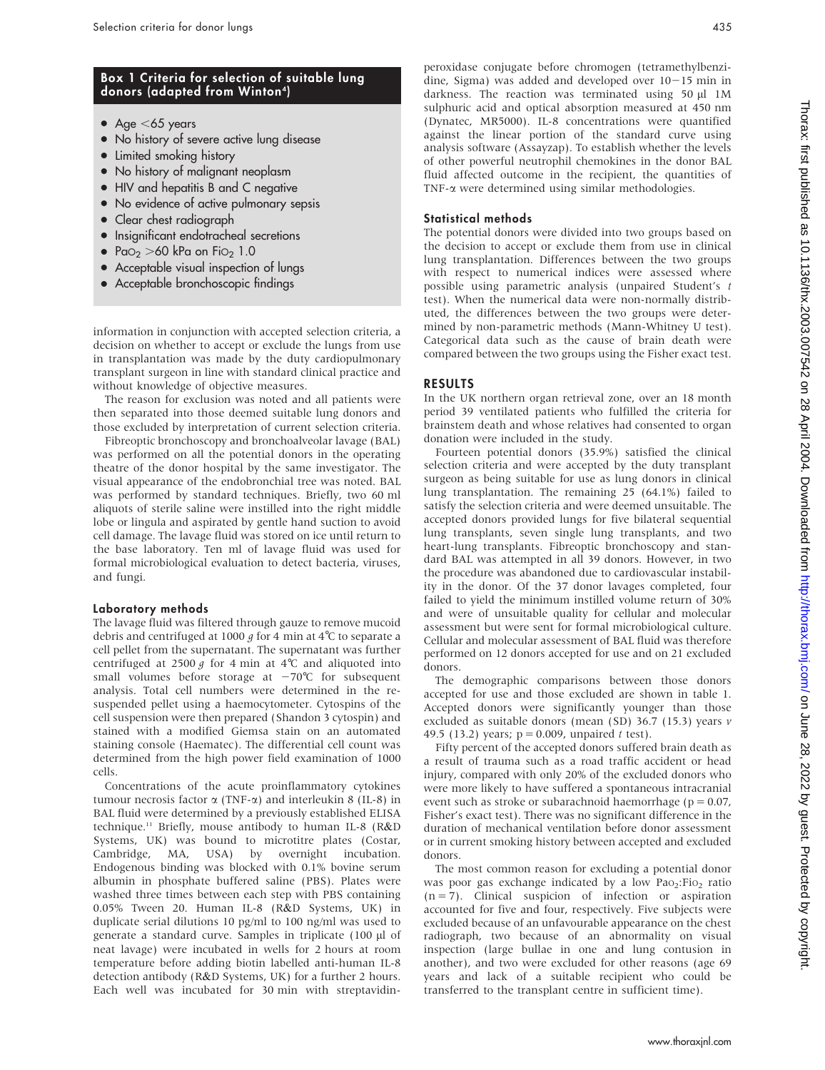## Box 1 Criteria for selection of suitable lung donors (adapted from Winton<sup>4</sup>)

- Age  $<$  65 years
- No history of severe active lung disease
- Limited smoking history
- No history of malignant neoplasm
- HIV and hepatitis B and C negative
- No evidence of active pulmonary sepsis
- Clear chest radiograph
- $\bullet$  Insignificant endotracheal secretions
- Pa $\circ$  >60 kPa on Fio<sub>2</sub> 1.0
- Acceptable visual inspection of lungs
- Acceptable bronchoscopic findings

information in conjunction with accepted selection criteria, a decision on whether to accept or exclude the lungs from use in transplantation was made by the duty cardiopulmonary transplant surgeon in line with standard clinical practice and without knowledge of objective measures.

The reason for exclusion was noted and all patients were then separated into those deemed suitable lung donors and those excluded by interpretation of current selection criteria.

Fibreoptic bronchoscopy and bronchoalveolar lavage (BAL) was performed on all the potential donors in the operating theatre of the donor hospital by the same investigator. The visual appearance of the endobronchial tree was noted. BAL was performed by standard techniques. Briefly, two 60 ml aliquots of sterile saline were instilled into the right middle lobe or lingula and aspirated by gentle hand suction to avoid cell damage. The lavage fluid was stored on ice until return to the base laboratory. Ten ml of lavage fluid was used for formal microbiological evaluation to detect bacteria, viruses, and fungi.

#### Laboratory methods

The lavage fluid was filtered through gauze to remove mucoid debris and centrifuged at 1000  $g$  for 4 min at 4°C to separate a cell pellet from the supernatant. The supernatant was further centrifuged at 2500 g for 4 min at 4°C and aliquoted into small volumes before storage at  $-70^{\circ}$ C for subsequent analysis. Total cell numbers were determined in the resuspended pellet using a haemocytometer. Cytospins of the cell suspension were then prepared (Shandon 3 cytospin) and stained with a modified Giemsa stain on an automated staining console (Haematec). The differential cell count was determined from the high power field examination of 1000 cells.

Concentrations of the acute proinflammatory cytokines tumour necrosis factor  $\alpha$  (TNF- $\alpha$ ) and interleukin 8 (IL-8) in BAL fluid were determined by a previously established ELISA technique.11 Briefly, mouse antibody to human IL-8 (R&D Systems, UK) was bound to microtitre plates (Costar, Cambridge, MA, USA) by overnight incubation. Endogenous binding was blocked with 0.1% bovine serum albumin in phosphate buffered saline (PBS). Plates were washed three times between each step with PBS containing 0.05% Tween 20. Human IL-8 (R&D Systems, UK) in duplicate serial dilutions 10 pg/ml to 100 ng/ml was used to generate a standard curve. Samples in triplicate (100 µl of neat lavage) were incubated in wells for 2 hours at room temperature before adding biotin labelled anti-human IL-8 detection antibody (R&D Systems, UK) for a further 2 hours. Each well was incubated for 30 min with streptavidinperoxidase conjugate before chromogen (tetramethylbenzidine, Sigma) was added and developed over  $10-15$  min in darkness. The reaction was terminated using 50 µl 1M sulphuric acid and optical absorption measured at 450 nm (Dynatec, MR5000). IL-8 concentrations were quantified against the linear portion of the standard curve using analysis software (Assayzap). To establish whether the levels of other powerful neutrophil chemokines in the donor BAL fluid affected outcome in the recipient, the quantities of TNF- $\alpha$  were determined using similar methodologies.

#### Statistical methods

The potential donors were divided into two groups based on the decision to accept or exclude them from use in clinical lung transplantation. Differences between the two groups with respect to numerical indices were assessed where possible using parametric analysis (unpaired Student's t test). When the numerical data were non-normally distributed, the differences between the two groups were determined by non-parametric methods (Mann-Whitney U test). Categorical data such as the cause of brain death were compared between the two groups using the Fisher exact test.

### RESULTS

In the UK northern organ retrieval zone, over an 18 month period 39 ventilated patients who fulfilled the criteria for brainstem death and whose relatives had consented to organ donation were included in the study.

Fourteen potential donors (35.9%) satisfied the clinical selection criteria and were accepted by the duty transplant surgeon as being suitable for use as lung donors in clinical lung transplantation. The remaining 25 (64.1%) failed to satisfy the selection criteria and were deemed unsuitable. The accepted donors provided lungs for five bilateral sequential lung transplants, seven single lung transplants, and two heart-lung transplants. Fibreoptic bronchoscopy and standard BAL was attempted in all 39 donors. However, in two the procedure was abandoned due to cardiovascular instability in the donor. Of the 37 donor lavages completed, four failed to yield the minimum instilled volume return of 30% and were of unsuitable quality for cellular and molecular assessment but were sent for formal microbiological culture. Cellular and molecular assessment of BAL fluid was therefore performed on 12 donors accepted for use and on 21 excluded donors.

The demographic comparisons between those donors accepted for use and those excluded are shown in table 1. Accepted donors were significantly younger than those excluded as suitable donors (mean (SD) 36.7 (15.3) years v 49.5 (13.2) years;  $p = 0.009$ , unpaired t test).

Fifty percent of the accepted donors suffered brain death as a result of trauma such as a road traffic accident or head injury, compared with only 20% of the excluded donors who were more likely to have suffered a spontaneous intracranial event such as stroke or subarachnoid haemorrhage ( $p = 0.07$ , Fisher's exact test). There was no significant difference in the duration of mechanical ventilation before donor assessment or in current smoking history between accepted and excluded donors.

The most common reason for excluding a potential donor was poor gas exchange indicated by a low  $Pao<sub>2</sub>:Fio<sub>2</sub>$  ratio  $(n = 7)$ . Clinical suspicion of infection or aspiration accounted for five and four, respectively. Five subjects were excluded because of an unfavourable appearance on the chest radiograph, two because of an abnormality on visual inspection (large bullae in one and lung contusion in another), and two were excluded for other reasons (age 69 years and lack of a suitable recipient who could be transferred to the transplant centre in sufficient time).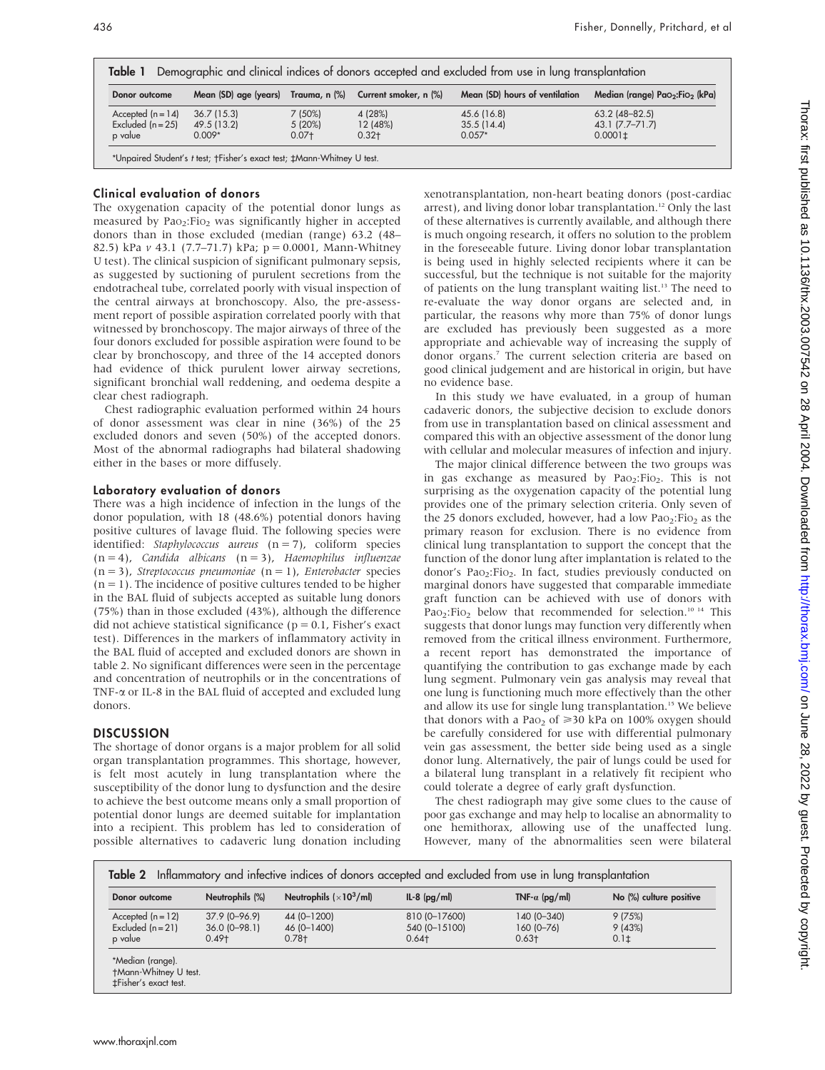| Donor outcome       |             |         | Mean (SD) age (years) Trauma, n (%) Current smoker, n (%) | Mean (SD) hours of ventilation | Median (range) Pao2:Fio2 (kPa) |
|---------------------|-------------|---------|-----------------------------------------------------------|--------------------------------|--------------------------------|
| Accepted $(n = 14)$ | 36.7(15.3)  | 7 (50%) | 4 (28%)                                                   | 45.6 (16.8)                    | $63.2$ (48-82.5)               |
| Excluded $(n = 25)$ | 49.5 (13.2) | 5(20%)  | 12 (48%)                                                  | 35.5(14.4)                     | 43.1 (7.7–71.7)                |
| p value             | $0.009*$    | $0.07+$ | $0.32 +$                                                  | $0.057*$                       | $0.0001 \pm$                   |

#### Clinical evaluation of donors

The oxygenation capacity of the potential donor lungs as measured by Pao<sub>2</sub>:Fio<sub>2</sub> was significantly higher in accepted donors than in those excluded (median (range) 63.2 (48– 82.5) kPa v 43.1 (7.7–71.7) kPa;  $p = 0.0001$ , Mann-Whitney U test). The clinical suspicion of significant pulmonary sepsis, as suggested by suctioning of purulent secretions from the endotracheal tube, correlated poorly with visual inspection of the central airways at bronchoscopy. Also, the pre-assessment report of possible aspiration correlated poorly with that witnessed by bronchoscopy. The major airways of three of the four donors excluded for possible aspiration were found to be clear by bronchoscopy, and three of the 14 accepted donors had evidence of thick purulent lower airway secretions, significant bronchial wall reddening, and oedema despite a clear chest radiograph.

Chest radiographic evaluation performed within 24 hours of donor assessment was clear in nine (36%) of the 25 excluded donors and seven (50%) of the accepted donors. Most of the abnormal radiographs had bilateral shadowing either in the bases or more diffusely.

#### Laboratory evaluation of donors

There was a high incidence of infection in the lungs of the donor population, with 18 (48.6%) potential donors having positive cultures of lavage fluid. The following species were identified: Staphylococcus aureus  $(n = 7)$ , coliform species  $(n = 4)$ , Candida albicans  $(n = 3)$ , Haemophilus influenzae  $(n = 3)$ , Streptococcus pneumoniae  $(n = 1)$ , Enterobacter species  $(n = 1)$ . The incidence of positive cultures tended to be higher in the BAL fluid of subjects accepted as suitable lung donors (75%) than in those excluded (43%), although the difference did not achieve statistical significance ( $p = 0.1$ , Fisher's exact test). Differences in the markers of inflammatory activity in the BAL fluid of accepted and excluded donors are shown in table 2. No significant differences were seen in the percentage and concentration of neutrophils or in the concentrations of TNF- $\alpha$  or IL-8 in the BAL fluid of accepted and excluded lung donors.

#### **DISCUSSION**

The shortage of donor organs is a major problem for all solid organ transplantation programmes. This shortage, however, is felt most acutely in lung transplantation where the susceptibility of the donor lung to dysfunction and the desire to achieve the best outcome means only a small proportion of potential donor lungs are deemed suitable for implantation into a recipient. This problem has led to consideration of possible alternatives to cadaveric lung donation including xenotransplantation, non-heart beating donors (post-cardiac arrest), and living donor lobar transplantation.<sup>12</sup> Only the last of these alternatives is currently available, and although there is much ongoing research, it offers no solution to the problem in the foreseeable future. Living donor lobar transplantation is being used in highly selected recipients where it can be successful, but the technique is not suitable for the majority of patients on the lung transplant waiting list.<sup>13</sup> The need to re-evaluate the way donor organs are selected and, in particular, the reasons why more than 75% of donor lungs are excluded has previously been suggested as a more appropriate and achievable way of increasing the supply of donor organs.7 The current selection criteria are based on good clinical judgement and are historical in origin, but have no evidence base.

In this study we have evaluated, in a group of human cadaveric donors, the subjective decision to exclude donors from use in transplantation based on clinical assessment and compared this with an objective assessment of the donor lung with cellular and molecular measures of infection and injury.

The major clinical difference between the two groups was in gas exchange as measured by  $PaO<sub>2</sub>:FiO<sub>2</sub>$ . This is not surprising as the oxygenation capacity of the potential lung provides one of the primary selection criteria. Only seven of the 25 donors excluded, however, had a low Pa $_{2}$ : Fio<sub>2</sub> as the primary reason for exclusion. There is no evidence from clinical lung transplantation to support the concept that the function of the donor lung after implantation is related to the donor's Pao<sub>2</sub>:Fio<sub>2</sub>. In fact, studies previously conducted on marginal donors have suggested that comparable immediate graft function can be achieved with use of donors with Pao<sub>2</sub>:Fio<sub>2</sub> below that recommended for selection.<sup>10 14</sup> This suggests that donor lungs may function very differently when removed from the critical illness environment. Furthermore, a recent report has demonstrated the importance of quantifying the contribution to gas exchange made by each lung segment. Pulmonary vein gas analysis may reveal that one lung is functioning much more effectively than the other and allow its use for single lung transplantation.<sup>15</sup> We believe that donors with a Pa $_{2}$  of  $\geq 30$  kPa on 100% oxygen should be carefully considered for use with differential pulmonary vein gas assessment, the better side being used as a single donor lung. Alternatively, the pair of lungs could be used for a bilateral lung transplant in a relatively fit recipient who could tolerate a degree of early graft dysfunction.

The chest radiograph may give some clues to the cause of poor gas exchange and may help to localise an abnormality to one hemithorax, allowing use of the unaffected lung. However, many of the abnormalities seen were bilateral

| Donor outcome       | Neutrophils (%) | Neutrophils $(x10^3/ml)$ | $IL-8$ (pg/ml) | TNF- $\alpha$ (pg/ml) | No (%) culture positive |
|---------------------|-----------------|--------------------------|----------------|-----------------------|-------------------------|
| Accepted $(n = 12)$ | $37.9$ (0-96.9) | 44 (0-1200)              | 810 (0-17600)  | 140 (0-340)           | 9(75%)                  |
| Excluded $(n = 21)$ | $36.0$ (0-98.1) | 46 (0-1400)              | 540 (0-15100)  | $160(0 - 76)$         | 9(43%)                  |
| p value             | $0.49 +$        | $0.78 +$                 | $0.64 +$       | $0.63 +$              | 0.1 <sub>±</sub>        |